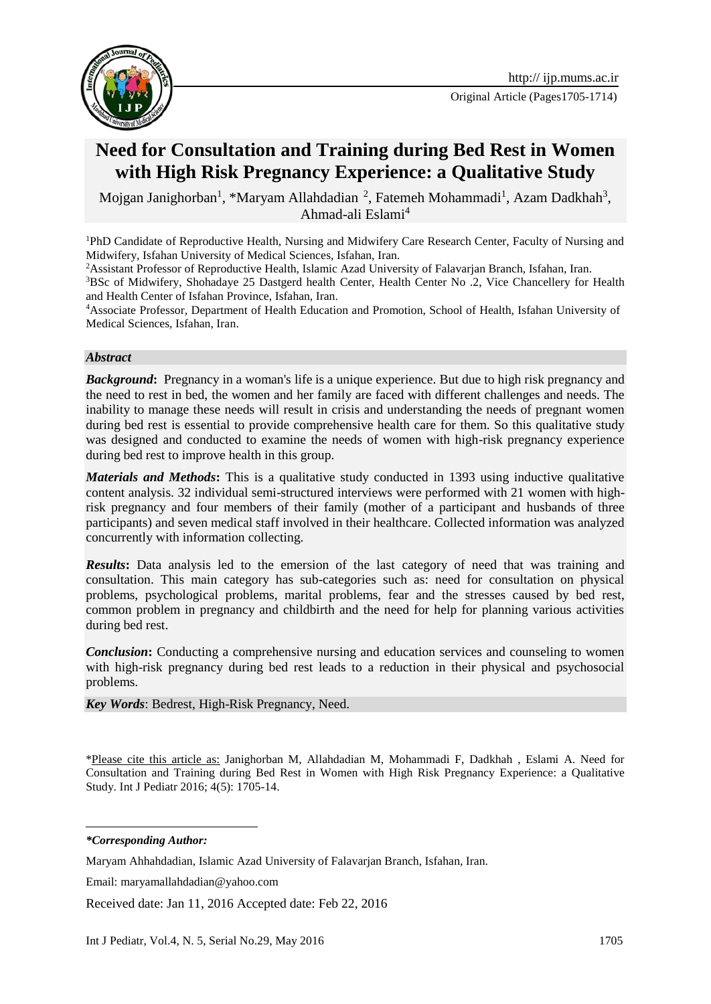

Original Article (Pages1705-1714)

# **Need for Consultation and Training during Bed Rest in Women with High Risk Pregnancy Experience: a Qualitative Study**

Mojgan Janighorban<sup>1</sup>, \*Maryam Allahdadian<sup>2</sup>, Fatemeh Mohammadi<sup>1</sup>, Azam Dadkhah<sup>3</sup>, Ahmad-ali Eslami<sup>4</sup>

<sup>1</sup>PhD Candidate of Reproductive Health, Nursing and Midwifery Care Research Center, Faculty of Nursing and Midwifery, Isfahan University of Medical Sciences, Isfahan, Iran.

<sup>2</sup>Assistant Professor of Reproductive Health, Islamic Azad University of Falavarian Branch, Isfahan, Iran.

<sup>3</sup>BSc of Midwifery, Shohadaye 25 Dastgerd health Center, Health Center No .2, Vice Chancellery for Health and Health Center of Isfahan Province, Isfahan, Iran.

<sup>4</sup>Associate Professor, Department of Health Education and Promotion, School of Health, Isfahan University of Medical Sciences, Isfahan, Iran.

#### *Abstract*

*Background*: Pregnancy in a woman's life is a unique experience. But due to high risk pregnancy and the need to rest in bed, the women and her family are faced with different challenges and needs. The inability to manage these needs will result in crisis and understanding the needs of pregnant women during bed rest is essential to provide comprehensive health care for them. So this qualitative study was designed and conducted to examine the needs of women with high-risk pregnancy experience during bed rest to improve health in this group.

*Materials and Methods*: This is a qualitative study conducted in 1393 using inductive qualitative content analysis. 32 individual semi-structured interviews were performed with 21 women with highrisk pregnancy and four members of their family (mother of a participant and husbands of three participants) and seven medical staff involved in their healthcare. Collected information was analyzed concurrently with information collecting.

*Results***:** Data analysis led to the emersion of the last category of need that was training and consultation. This main category has sub-categories such as: need for consultation on physical problems, psychological problems, marital problems, fear and the stresses caused by bed rest, common problem in pregnancy and childbirth and the need for help for planning various activities during bed rest.

*Conclusion***:** Conducting a comprehensive nursing and education services and counseling to women with high-risk pregnancy during bed rest leads to a reduction in their physical and psychosocial problems.

*Key Words*: Bedrest, [High-Risk Pregnancy,](https://www.nlm.nih.gov/cgi/mesh/2016/MB_cgi?mode=&index=17735&field=all&HM=&II=&PA=&form=&input=) Need.

\*Please cite this article as: Janighorban M, Allahdadian M, Mohammadi F, Dadkhah , Eslami A. Need for Consultation and Training during Bed Rest in Women with High Risk Pregnancy Experience: a Qualitative Study. Int J Pediatr 2016; 4(5): 1705-14.

**.** *\*Corresponding Author:*

Maryam Ahhahdadian, Islamic Azad University of Falavarjan Branch, Isfahan, Iran.

Email: [maryamallahdadian@yahoo.com](mailto:maryamallahdadian@yahoo.com)

Received date: Jan 11, 2016 Accepted date: Feb 22, 2016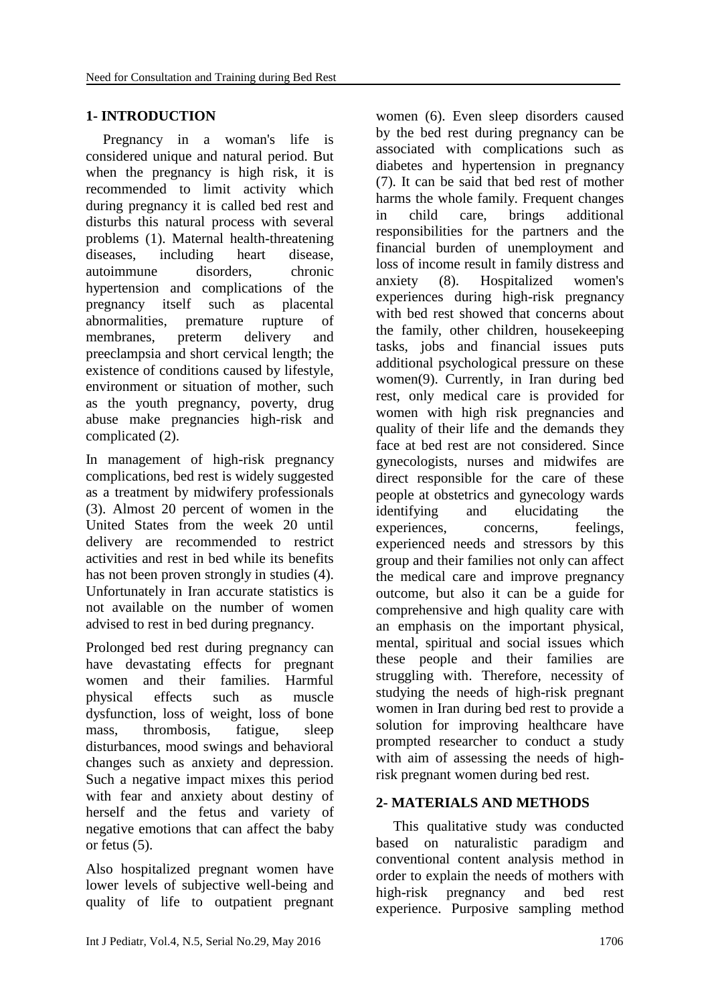# **1- INTRODUCTION**

Pregnancy in a woman's life is considered unique and natural period. But when the pregnancy is high risk, it is recommended to limit activity which during pregnancy it is called bed rest and disturbs this natural process with several problems (1). Maternal health-threatening diseases, including heart disease, autoimmune disorders, chronic hypertension and complications of the pregnancy itself such as placental abnormalities, premature rupture of membranes, preterm delivery and preeclampsia and short cervical length; the existence of conditions caused by lifestyle, environment or situation of mother, such as the youth pregnancy, poverty, drug abuse make pregnancies high-risk and complicated (2).

In management of high-risk pregnancy complications, bed rest is widely suggested as a treatment by midwifery professionals (3). Almost 20 percent of women in the United States from the week 20 until delivery are recommended to restrict activities and rest in bed while its benefits has not been proven strongly in studies (4). Unfortunately in Iran accurate statistics is not available on the number of women advised to rest in bed during pregnancy.

Prolonged bed rest during pregnancy can have devastating effects for pregnant women and their families. Harmful physical effects such as muscle dysfunction, loss of weight, loss of bone mass, thrombosis, fatigue, sleep disturbances, mood swings and behavioral changes such as anxiety and depression. Such a negative impact mixes this period with fear and anxiety about destiny of herself and the fetus and variety of negative emotions that can affect the baby or fetus (5).

Also hospitalized pregnant women have lower levels of subjective well-being and quality of life to outpatient pregnant

women (6). Even sleep disorders caused by the bed rest during pregnancy can be associated with complications such as diabetes and hypertension in pregnancy (7). It can be said that bed rest of mother harms the whole family. Frequent changes in child care, brings additional responsibilities for the partners and the financial burden of unemployment and loss of income result in family distress and anxiety (8). Hospitalized women's experiences during high-risk pregnancy with bed rest showed that concerns about the family, other children, housekeeping tasks, jobs and financial issues puts additional psychological pressure on these women(9). Currently, in Iran during bed rest, only medical care is provided for women with high risk pregnancies and quality of their life and the demands they face at bed rest are not considered. Since gynecologists, nurses and midwifes are direct responsible for the care of these people at obstetrics and gynecology wards identifying and elucidating the experiences, concerns, feelings, experienced needs and stressors by this group and their families not only can affect the medical care and improve pregnancy outcome, but also it can be a guide for comprehensive and high quality care with an emphasis on the important physical, mental, spiritual and social issues which these people and their families are struggling with. Therefore, necessity of studying the needs of high-risk pregnant women in Iran during bed rest to provide a solution for improving healthcare have prompted researcher to conduct a study with aim of assessing the needs of highrisk pregnant women during bed rest.

# **2- MATERIALS AND METHODS**

This qualitative study was conducted based on naturalistic paradigm and conventional content analysis method in order to explain the needs of mothers with high-risk pregnancy and bed rest experience. Purposive sampling method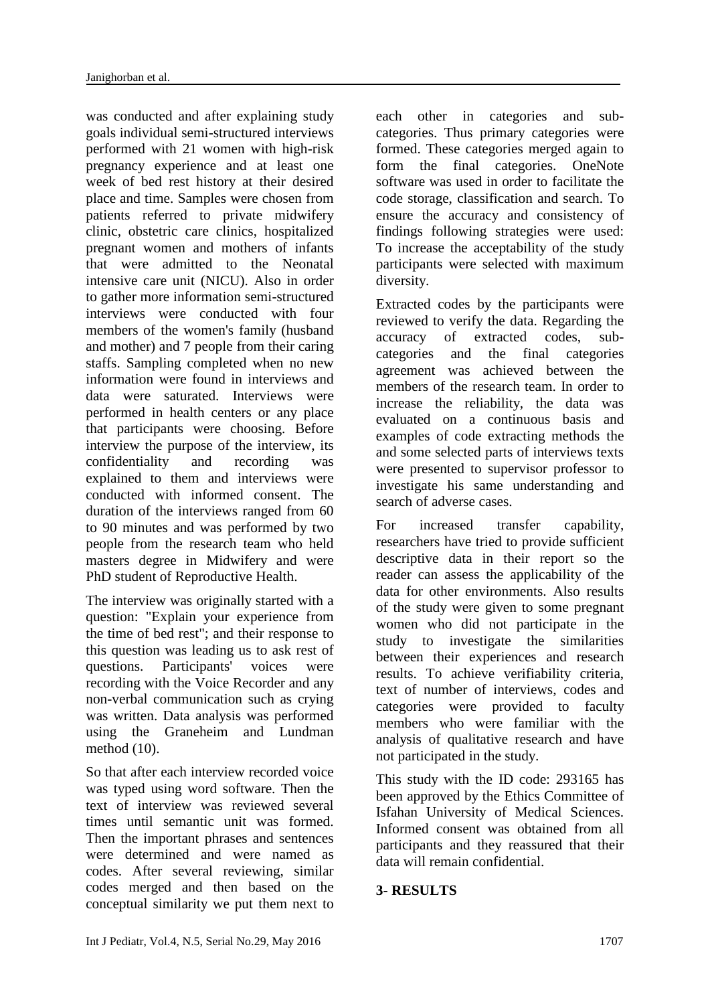was conducted and after explaining study goals individual semi-structured interviews performed with 21 women with high-risk pregnancy experience and at least one week of bed rest history at their desired place and time. Samples were chosen from patients referred to private midwifery clinic, obstetric care clinics, hospitalized pregnant women and mothers of infants that were admitted to the Neonatal intensive care unit (NICU). Also in order to gather more information semi-structured interviews were conducted with four members of the women's family (husband and mother) and 7 people from their caring staffs. Sampling completed when no new information were found in interviews and data were saturated. Interviews were performed in health centers or any place that participants were choosing. Before interview the purpose of the interview, its confidentiality and recording was explained to them and interviews were conducted with informed consent. The duration of the interviews ranged from 60 to 90 minutes and was performed by two people from the research team who held masters degree in Midwifery and were PhD student of Reproductive Health.

The interview was originally started with a question: "Explain your experience from the time of bed rest"; and their response to this question was leading us to ask rest of questions. Participants' voices were recording with the Voice Recorder and any non-verbal communication such as crying was written. Data analysis was performed using the Graneheim and Lundman method (10).

So that after each interview recorded voice was typed using word software. Then the text of interview was reviewed several times until semantic unit was formed. Then the important phrases and sentences were determined and were named as codes. After several reviewing, similar codes merged and then based on the conceptual similarity we put them next to

each other in categories and subcategories. Thus primary categories were formed. These categories merged again to form the final categories. OneNote software was used in order to facilitate the code storage, classification and search. To ensure the accuracy and consistency of findings following strategies were used: To increase the acceptability of the study participants were selected with maximum diversity.

Extracted codes by the participants were reviewed to verify the data. Regarding the accuracy of extracted codes, subcategories and the final categories agreement was achieved between the members of the research team. In order to increase the reliability, the data was evaluated on a continuous basis and examples of code extracting methods the and some selected parts of interviews texts were presented to supervisor professor to investigate his same understanding and search of adverse cases.

For increased transfer capability, researchers have tried to provide sufficient descriptive data in their report so the reader can assess the applicability of the data for other environments. Also results of the study were given to some pregnant women who did not participate in the study to investigate the similarities between their experiences and research results. To achieve verifiability criteria, text of number of interviews, codes and categories were provided to faculty members who were familiar with the analysis of qualitative research and have not participated in the study.

This study with the ID code: 293165 has been approved by the Ethics Committee of Isfahan University of Medical Sciences. Informed consent was obtained from all participants and they reassured that their data will remain confidential.

### **3- RESULTS**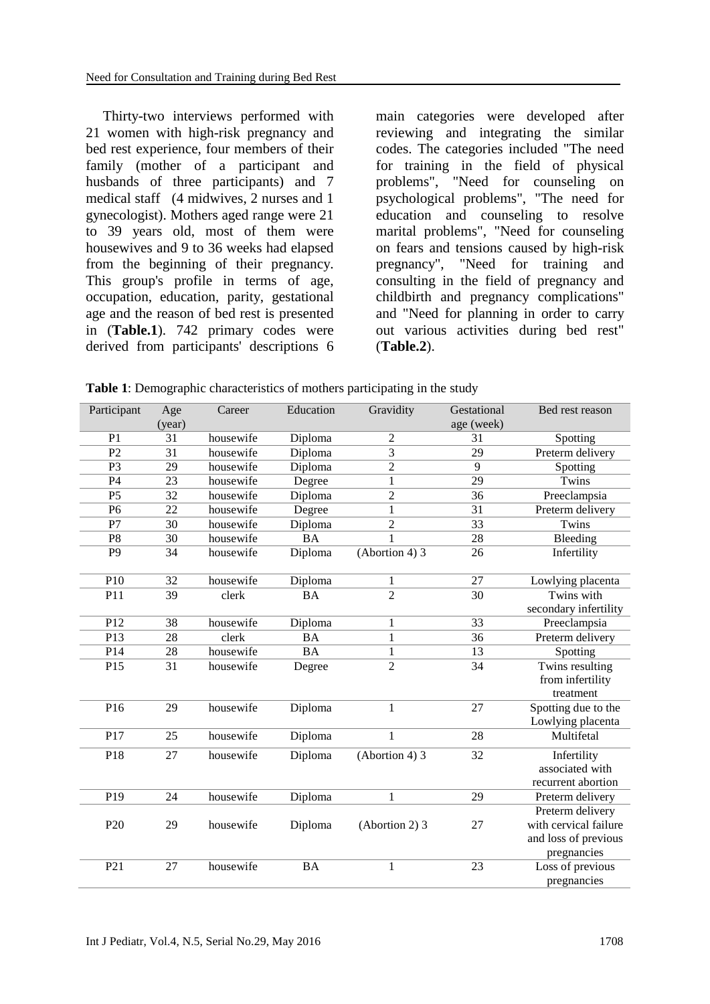Thirty-two interviews performed with 21 women with high-risk pregnancy and bed rest experience, four members of their family (mother of a participant and husbands of three participants) and 7 medical staff (4 midwives, 2 nurses and 1 gynecologist). Mothers aged range were 21 to 39 years old, most of them were housewives and 9 to 36 weeks had elapsed from the beginning of their pregnancy. This group's profile in terms of age, occupation, education, parity, gestational age and the reason of bed rest is presented in (**Table.1**). 742 primary codes were derived from participants' descriptions 6

main categories were developed after reviewing and integrating the similar codes. The categories included "The need for training in the field of physical problems", "Need for counseling on psychological problems", "The need for education and counseling to resolve marital problems", "Need for counseling on fears and tensions caused by high-risk pregnancy", "Need for training and consulting in the field of pregnancy and childbirth and pregnancy complications" and "Need for planning in order to carry out various activities during bed rest" (**Table.2**).

**Table 1**: Demographic characteristics of mothers participating in the study

| Participant     | Age<br>(year)   | Career    | Education | Gravidity        | Gestational<br>age (week) | Bed rest reason                     |
|-----------------|-----------------|-----------|-----------|------------------|---------------------------|-------------------------------------|
| $\overline{P1}$ | 31              |           |           |                  |                           |                                     |
|                 |                 | housewife | Diploma   | $\overline{c}$   | 31                        | Spotting                            |
| $\overline{P2}$ | 31              | housewife | Diploma   | $\overline{3}$   | 29                        | Preterm delivery                    |
| P3              | 29              | housewife | Diploma   | $\overline{c}$   | 9                         | $\overline{S}$ potting              |
| P4              | 23              | housewife | Degree    | $\mathbf 1$      | 29                        | Twins                               |
| $\overline{P5}$ | $\overline{32}$ | housewife | Diploma   | $\overline{c}$   | 36                        | Preeclampsia                        |
| P <sub>6</sub>  | 22              | housewife | Degree    | $\mathbf{1}$     | 31                        | Preterm delivery                    |
| P7              | $\overline{30}$ | housewife | Diploma   | $\overline{c}$   | $\overline{33}$           | Twins                               |
| P8              | 30              | housewife | <b>BA</b> | $\mathbf{1}$     | 28                        | Bleeding                            |
| P <sub>9</sub>  | 34              | housewife | Diploma   | $(Abortion 4)$ 3 | 26                        | Infertility                         |
| P10             | 32              | housewife | Diploma   | $\mathbf{1}$     | 27                        | Lowlying placenta                   |
| P11             | $\overline{39}$ | clerk     | BA        | $\overline{2}$   | $\overline{30}$           | Twins with                          |
|                 |                 |           |           |                  |                           | secondary infertility               |
| P12             | 38              | housewife | Diploma   | $\mathbf{1}$     | 33                        | Preeclampsia                        |
| P13             | 28              | clerk     | <b>BA</b> | $\mathbf 1$      | 36                        | Preterm delivery                    |
| P14             | 28              | housewife | <b>BA</b> | $\mathbf{1}$     | 13                        | Spotting                            |
| P15             | 31              | housewife | Degree    | $\overline{2}$   | 34                        | Twins resulting<br>from infertility |
|                 |                 |           |           |                  |                           | treatment                           |
| P16             | 29              | housewife | Diploma   | $\mathbf{1}$     | 27                        | Spotting due to the                 |
|                 |                 |           |           |                  |                           | Lowlying placenta                   |
| P17             | 25              | housewife | Diploma   | $\mathbf 1$      | 28                        | Multifetal                          |
|                 | 27              | housewife |           |                  |                           |                                     |
| P18             |                 |           | Diploma   | (Abortion 4) 3   | 32                        | Infertility<br>associated with      |
|                 |                 |           |           |                  |                           |                                     |
|                 |                 |           |           |                  |                           | recurrent abortion                  |
| P19             | 24              | housewife | Diploma   | 1                | 29                        | Preterm delivery                    |
|                 |                 |           |           |                  |                           | Preterm delivery                    |
| P <sub>20</sub> | 29              | housewife | Diploma   | (Abortion 2) 3   | 27                        | with cervical failure               |
|                 |                 |           |           |                  |                           | and loss of previous                |
|                 |                 |           |           |                  |                           | pregnancies                         |
| P <sub>21</sub> | 27              | housewife | <b>BA</b> | $\mathbf{1}$     | 23                        | Loss of previous                    |
|                 |                 |           |           |                  |                           | pregnancies                         |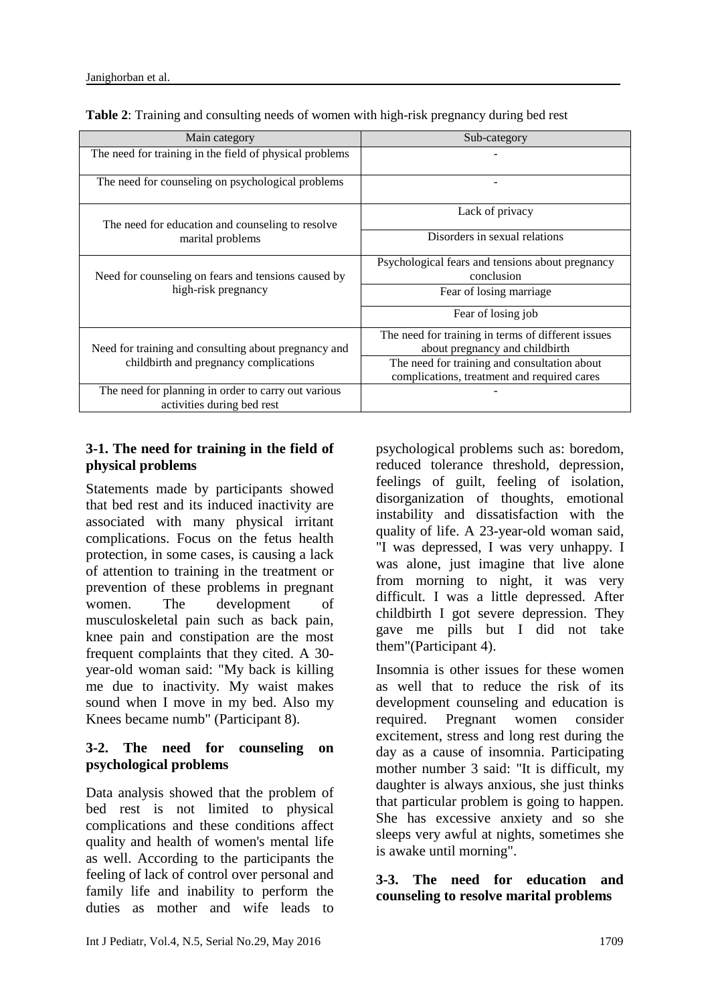| Main category                                           | Sub-category                                                   |  |  |  |  |
|---------------------------------------------------------|----------------------------------------------------------------|--|--|--|--|
| The need for training in the field of physical problems |                                                                |  |  |  |  |
| The need for counseling on psychological problems       |                                                                |  |  |  |  |
| The need for education and counseling to resolve        | Lack of privacy                                                |  |  |  |  |
| marital problems                                        | Disorders in sexual relations                                  |  |  |  |  |
| Need for counseling on fears and tensions caused by     | Psychological fears and tensions about pregnancy<br>conclusion |  |  |  |  |
|                                                         |                                                                |  |  |  |  |
| high-risk pregnancy                                     | Fear of losing marriage                                        |  |  |  |  |
|                                                         | Fear of losing job                                             |  |  |  |  |
|                                                         | The need for training in terms of different issues             |  |  |  |  |
| Need for training and consulting about pregnancy and    | about pregnancy and childbirth                                 |  |  |  |  |
| childbirth and pregnancy complications                  | The need for training and consultation about                   |  |  |  |  |
|                                                         | complications, treatment and required cares                    |  |  |  |  |
| The need for planning in order to carry out various     |                                                                |  |  |  |  |
| activities during bed rest                              |                                                                |  |  |  |  |

**Table 2**: Training and consulting needs of women with high-risk pregnancy during bed rest

# **3-1. The need for training in the field of physical problems**

Statements made by participants showed that bed rest and its induced inactivity are associated with many physical irritant complications. Focus on the fetus health protection, in some cases, is causing a lack of attention to training in the treatment or prevention of these problems in pregnant women. The development of musculoskeletal pain such as back pain, knee pain and constipation are the most frequent complaints that they cited. A 30 year-old woman said: "My back is killing me due to inactivity. My waist makes sound when I move in my bed. Also my Knees became numb" (Participant 8).

### **3-2. The need for counseling on psychological problems**

Data analysis showed that the problem of bed rest is not limited to physical complications and these conditions affect quality and health of women's mental life as well. According to the participants the feeling of lack of control over personal and family life and inability to perform the duties as mother and wife leads to

psychological problems such as: boredom, reduced tolerance threshold, depression, feelings of guilt, feeling of isolation, disorganization of thoughts, emotional instability and dissatisfaction with the quality of life. A 23-year-old woman said, "I was depressed, I was very unhappy. I was alone, just imagine that live alone from morning to night, it was very difficult. I was a little depressed. After childbirth I got severe depression. They gave me pills but I did not take them"(Participant 4).

Insomnia is other issues for these women as well that to reduce the risk of its development counseling and education is required. Pregnant women consider excitement, stress and long rest during the day as a cause of insomnia. Participating mother number 3 said: "It is difficult, my daughter is always anxious, she just thinks that particular problem is going to happen. She has excessive anxiety and so she sleeps very awful at nights, sometimes she is awake until morning".

### **3-3. The need for education and counseling to resolve marital problems**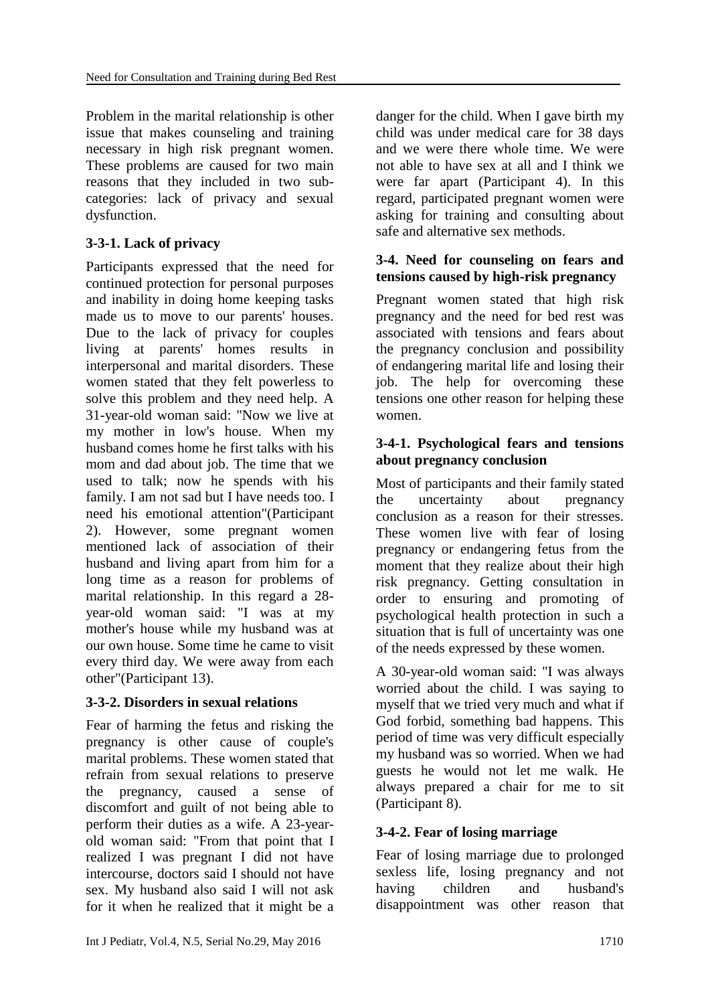Problem in the marital relationship is other issue that makes counseling and training necessary in high risk pregnant women. These problems are caused for two main reasons that they included in two subcategories: lack of privacy and sexual dysfunction.

# **3-3-1. Lack of privacy**

Participants expressed that the need for continued protection for personal purposes and inability in doing home keeping tasks made us to move to our parents' houses. Due to the lack of privacy for couples living at parents' homes results in interpersonal and marital disorders. These women stated that they felt powerless to solve this problem and they need help. A 31-year-old woman said: "Now we live at my mother in low's house. When my husband comes home he first talks with his mom and dad about job. The time that we used to talk; now he spends with his family. I am not sad but I have needs too. I need his emotional attention"(Participant 2). However, some pregnant women mentioned lack of association of their husband and living apart from him for a long time as a reason for problems of marital relationship. In this regard a 28 year-old woman said: "I was at my mother's house while my husband was at our own house. Some time he came to visit every third day. We were away from each other"(Participant 13).

# **3-3-2. Disorders in sexual relations**

Fear of harming the fetus and risking the pregnancy is other cause of couple's marital problems. These women stated that refrain from sexual relations to preserve the pregnancy, caused a sense of discomfort and guilt of not being able to perform their duties as a wife. A 23-yearold woman said: "From that point that I realized I was pregnant I did not have intercourse, doctors said I should not have sex. My husband also said I will not ask for it when he realized that it might be a danger for the child. When I gave birth my child was under medical care for 38 days and we were there whole time. We were not able to have sex at all and I think we were far apart (Participant 4). In this regard, participated pregnant women were asking for training and consulting about safe and alternative sex methods.

### **3-4. Need for counseling on fears and tensions caused by high-risk pregnancy**

Pregnant women stated that high risk pregnancy and the need for bed rest was associated with tensions and fears about the pregnancy conclusion and possibility of endangering marital life and losing their job. The help for overcoming these tensions one other reason for helping these women.

### **3-4-1. Psychological fears and tensions about pregnancy conclusion**

Most of participants and their family stated the uncertainty about pregnancy conclusion as a reason for their stresses. These women live with fear of losing pregnancy or endangering fetus from the moment that they realize about their high risk pregnancy. Getting consultation in order to ensuring and promoting of psychological health protection in such a situation that is full of uncertainty was one of the needs expressed by these women.

A 30-year-old woman said: "I was always worried about the child. I was saying to myself that we tried very much and what if God forbid, something bad happens. This period of time was very difficult especially my husband was so worried. When we had guests he would not let me walk. He always prepared a chair for me to sit (Participant 8).

# **3-4-2. Fear of losing marriage**

Fear of losing marriage due to prolonged sexless life, losing pregnancy and not having children and husband's disappointment was other reason that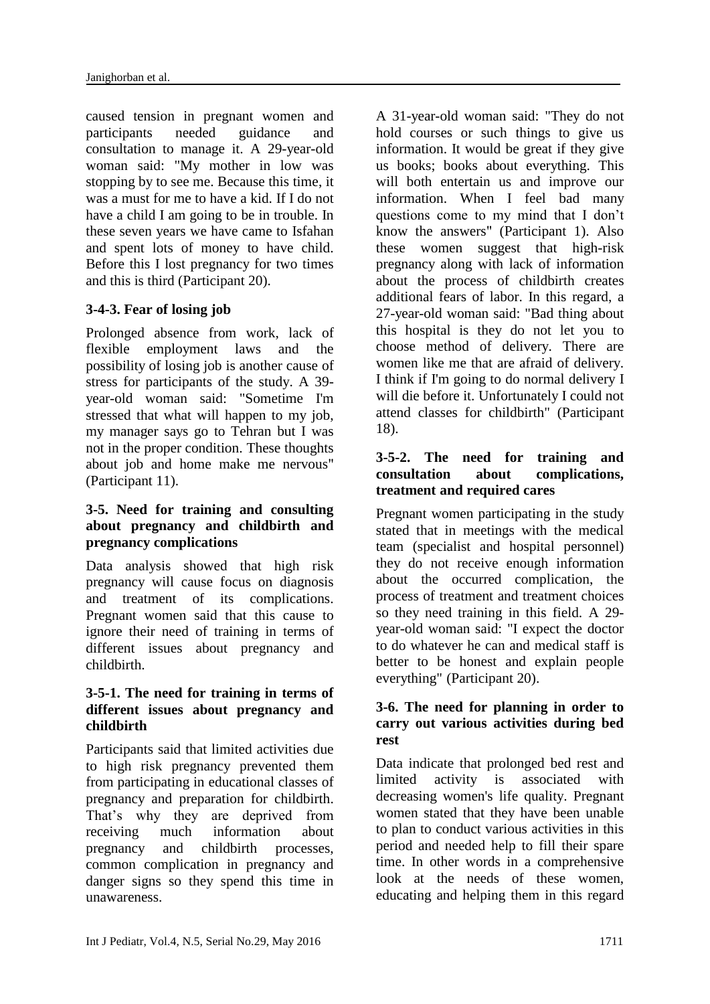caused tension in pregnant women and participants needed guidance and consultation to manage it. A 29-year-old woman said: "My mother in low was stopping by to see me. Because this time, it was a must for me to have a kid. If I do not have a child I am going to be in trouble. In these seven years we have came to Isfahan and spent lots of money to have child. Before this I lost pregnancy for two times and this is third (Participant 20).

# **3-4-3. Fear of losing job**

Prolonged absence from work, lack of flexible employment laws and the possibility of losing job is another cause of stress for participants of the study. A 39 year-old woman said: "Sometime I'm stressed that what will happen to my job, my manager says go to Tehran but I was not in the proper condition. These thoughts about job and home make me nervous" (Participant 11).

### **3-5. Need for training and consulting about pregnancy and childbirth and pregnancy complications**

Data analysis showed that high risk pregnancy will cause focus on diagnosis and treatment of its complications. Pregnant women said that this cause to ignore their need of training in terms of different issues about pregnancy and childbirth.

### **3-5-1. The need for training in terms of different issues about pregnancy and childbirth**

Participants said that limited activities due to high risk pregnancy prevented them from participating in educational classes of pregnancy and preparation for childbirth. That's why they are deprived from receiving much information about pregnancy and childbirth processes, common complication in pregnancy and danger signs so they spend this time in unawareness.

A 31-year-old woman said: "They do not hold courses or such things to give us information. It would be great if they give us books; books about everything. This will both entertain us and improve our information. When I feel bad many questions come to my mind that I don't know the answers" (Participant 1). Also these women suggest that high-risk pregnancy along with lack of information about the process of childbirth creates additional fears of labor. In this regard, a 27-year-old woman said: "Bad thing about this hospital is they do not let you to choose method of delivery. There are women like me that are afraid of delivery. I think if I'm going to do normal delivery I will die before it. Unfortunately I could not attend classes for childbirth" (Participant 18).

# **3-5-2. The need for training and consultation about complications, treatment and required cares**

Pregnant women participating in the study stated that in meetings with the medical team (specialist and hospital personnel) they do not receive enough information about the occurred complication, the process of treatment and treatment choices so they need training in this field. A 29 year-old woman said: "I expect the doctor to do whatever he can and medical staff is better to be honest and explain people everything" (Participant 20).

### **3-6. The need for planning in order to carry out various activities during bed rest**

Data indicate that prolonged bed rest and limited activity is associated with decreasing women's life quality. Pregnant women stated that they have been unable to plan to conduct various activities in this period and needed help to fill their spare time. In other words in a comprehensive look at the needs of these women, educating and helping them in this regard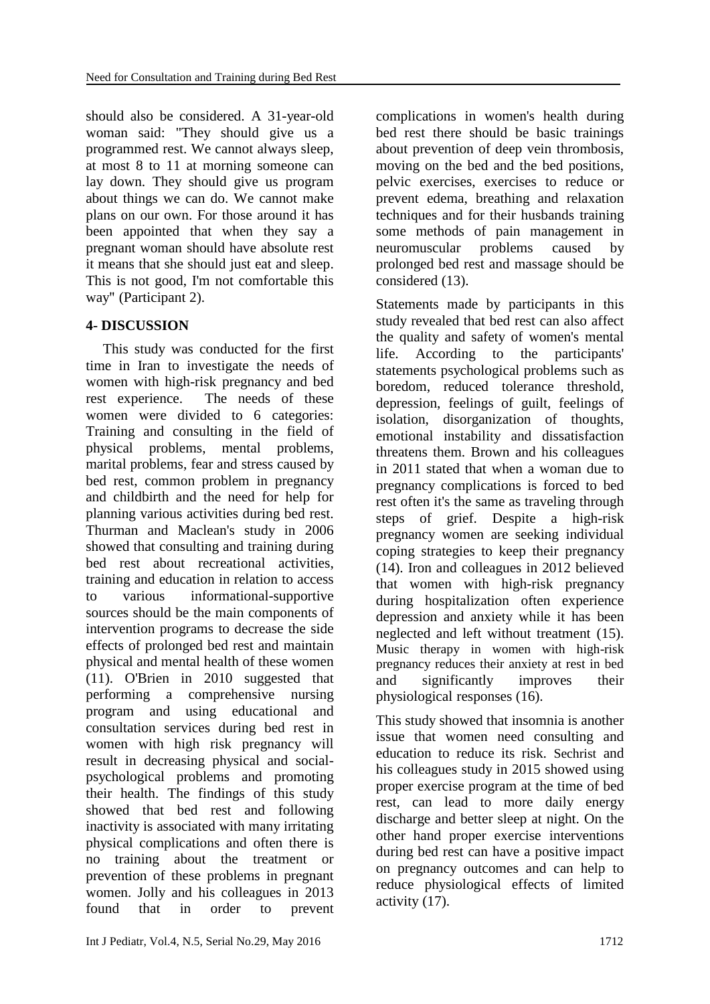should also be considered. A 31-year-old woman said: "They should give us a programmed rest. We cannot always sleep, at most 8 to 11 at morning someone can lay down. They should give us program about things we can do. We cannot make plans on our own. For those around it has been appointed that when they say a pregnant woman should have absolute rest it means that she should just eat and sleep. This is not good, I'm not comfortable this way" (Participant 2).

# **4- DISCUSSION**

This study was conducted for the first time in Iran to investigate the needs of women with high-risk pregnancy and bed rest experience. The needs of these women were divided to 6 categories: Training and consulting in the field of physical problems, mental problems, marital problems, fear and stress caused by bed rest, common problem in pregnancy and childbirth and the need for help for planning various activities during bed rest. Thurman and Maclean's study in 2006 showed that consulting and training during bed rest about recreational activities, training and education in relation to access to various informational-supportive sources should be the main components of intervention programs to decrease the side effects of prolonged bed rest and maintain physical and mental health of these women (11). O'Brien in 2010 suggested that performing a comprehensive nursing program and using educational and consultation services during bed rest in women with high risk pregnancy will result in decreasing physical and socialpsychological problems and promoting their health. The findings of this study showed that bed rest and following inactivity is associated with many irritating physical complications and often there is no training about the treatment or prevention of these problems in pregnant women. Jolly and his colleagues in 2013 found that in order to prevent

complications in women's health during bed rest there should be basic trainings about prevention of deep vein thrombosis, moving on the bed and the bed positions, pelvic exercises, exercises to reduce or prevent edema, breathing and relaxation techniques and for their husbands training some methods of pain management in neuromuscular problems caused by prolonged bed rest and massage should be considered (13).

Statements made by participants in this study revealed that bed rest can also affect the quality and safety of women's mental life. According to the participants' statements psychological problems such as boredom, reduced tolerance threshold, depression, feelings of guilt, feelings of isolation, disorganization of thoughts, emotional instability and dissatisfaction threatens them. Brown and his colleagues in 2011 stated that when a woman due to pregnancy complications is forced to bed rest often it's the same as traveling through steps of grief. Despite a high-risk pregnancy women are seeking individual coping strategies to keep their pregnancy (14). Iron and colleagues in 2012 believed that women with high-risk pregnancy during hospitalization often experience depression and anxiety while it has been neglected and left without treatment (15). Music therapy in women with high-risk pregnancy reduces their anxiety at rest in bed and significantly improves their physiological responses (16).

This study showed that insomnia is another issue that women need consulting and education to reduce its risk. Sechrist and his colleagues study in 2015 showed using proper exercise program at the time of bed rest, can lead to more daily energy discharge and better sleep at night. On the other hand proper exercise interventions during bed rest can have a positive impact on pregnancy outcomes and can help to reduce physiological effects of limited activity (17).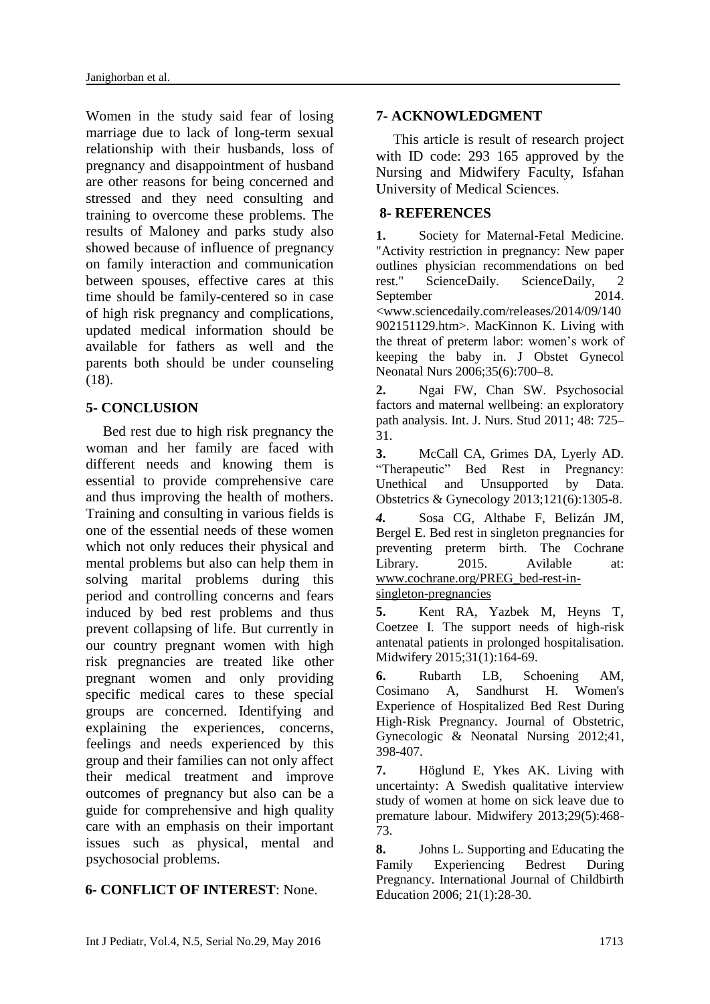Women in the study said fear of losing marriage due to lack of long-term sexual relationship with their husbands, loss of pregnancy and disappointment of husband are other reasons for being concerned and stressed and they need consulting and training to overcome these problems. The results of Maloney and parks study also showed because of influence of pregnancy on family interaction and communication between spouses, effective cares at this time should be family-centered so in case of high risk pregnancy and complications, updated medical information should be available for fathers as well and the parents both should be under counseling (18).

### **5- CONCLUSION**

Bed rest due to high risk pregnancy the woman and her family are faced with different needs and knowing them is essential to provide comprehensive care and thus improving the health of mothers. Training and consulting in various fields is one of the essential needs of these women which not only reduces their physical and mental problems but also can help them in solving marital problems during this period and controlling concerns and fears induced by bed rest problems and thus prevent collapsing of life. But currently in our country pregnant women with high risk pregnancies are treated like other pregnant women and only providing specific medical cares to these special groups are concerned. Identifying and explaining the experiences, concerns, feelings and needs experienced by this group and their families can not only affect their medical treatment and improve outcomes of pregnancy but also can be a guide for comprehensive and high quality care with an emphasis on their important issues such as physical, mental and psychosocial problems.

#### **6- CONFLICT OF INTEREST**: None.

This article is result of research project with ID code: 293 165 approved by the Nursing and Midwifery Faculty, Isfahan University of Medical Sciences.

#### **8- REFERENCES**

**1.** Society for Maternal-Fetal Medicine. "Activity restriction in pregnancy: New paper outlines physician recommendations on bed rest." ScienceDaily. ScienceDaily, September 2014. <www.sciencedaily.com/releases/2014/09/140 902151129.htm>. MacKinnon K. Living with the threat of preterm labor: women's work of keeping the baby in. J Obstet Gynecol Neonatal Nurs 2006;35(6):700–8.

**2.** Ngai FW, Chan SW. Psychosocial factors and maternal wellbeing: an exploratory path analysis. Int. J. Nurs. Stud 2011; 48: 725– 31.

**3.** McCall CA, Grimes DA, Lyerly AD. "Therapeutic" Bed Rest in Pregnancy: Unethical and Unsupported by Data. Obstetrics & Gynecology 2013;121(6):1305-8.

*4.* Sosa CG, Althabe F, Belizán JM, Bergel E. Bed rest in singleton pregnancies for preventing preterm birth. The Cochrane Library. 2015. Avilable at: www.cochrane.org/PREG\_bed-rest-insingleton-pregnancies

**5.** Kent RA, Yazbek M, Heyns T, Coetzee I. The support needs of high-risk antenatal patients in prolonged hospitalisation. Midwifery 2015;31(1):164-69.

**6.** Rubarth LB, Schoening AM, Cosimano A, Sandhurst H. Women's Experience of Hospitalized Bed Rest During High‐Risk Pregnancy. Journal of Obstetric, Gynecologic & Neonatal Nursing 2012;41, 398-407.

**7.** Höglund E, Ykes AK. Living with uncertainty: A Swedish qualitative interview study of women at home on sick leave due to premature labour. Midwifery 2013;29(5):468- 73.

**8.** Johns L. Supporting and Educating the Family Experiencing Bedrest During Pregnancy. International Journal of Childbirth Education 2006; 21(1):28-30.